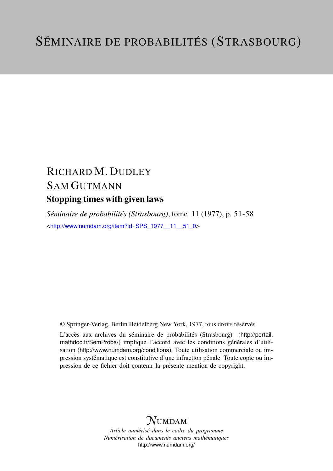# RICHARD M. DUDLEY SAM GUTMANN Stopping times with given laws

*Séminaire de probabilités (Strasbourg)*, tome 11 (1977), p. 51-58 <[http://www.numdam.org/item?id=SPS\\_1977\\_\\_11\\_\\_51\\_0](http://www.numdam.org/item?id=SPS_1977__11__51_0)>

© Springer-Verlag, Berlin Heidelberg New York, 1977, tous droits réservés.

L'accès aux archives du séminaire de probabilités (Strasbourg) ([http://portail.](http://portail.mathdoc.fr/SemProba/) [mathdoc.fr/SemProba/](http://portail.mathdoc.fr/SemProba/)) implique l'accord avec les conditions générales d'utilisation (<http://www.numdam.org/conditions>). Toute utilisation commerciale ou impression systématique est constitutive d'une infraction pénale. Toute copie ou impression de ce fichier doit contenir la présente mention de copyright.

## **NUMDAM**

*Article numérisé dans le cadre du programme Numérisation de documents anciens mathématiques* <http://www.numdam.org/>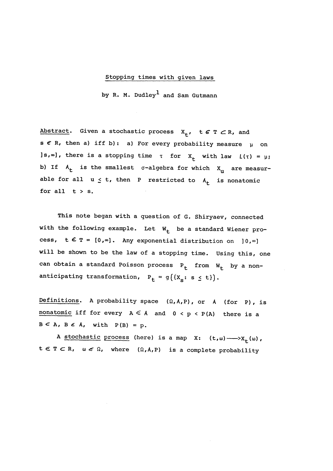### Stopping times with given laws

by R. M. Dudley<sup>1</sup> and Sam Gutmann

Abstract. Given a stochastic process  $X_{+}$ , t  $\epsilon$  T  $\subset$  R, and s  $\epsilon$  R, then a) iff b): a) For every probability measure  $\mu$  on  $\lfloor s, \infty \rfloor$ , there is a stopping time  $\tau$  for  $X_t$  with law  $L(\tau) = \mu$ ; b) If  $A_t$  is the smallest  $\sigma$ -algebra for which  $X_u$  are measurable for all  $u \le t$ , then P restricted to  $A_t$  is nonatomic for all  $t > s$ .

This note began with a question of G. Shiryaev, connected with the following example. Let  $W_t$  be a standard Wiener process,  $t \in T = [0, \infty]$ . Any exponential distribution on  $]0, \infty]$ will be shown to be the law of a stopping time. Using this, one can obtain a standard Poisson process  $P_t$  from  $W_t$  by a nonanticipating transformation,  $P^{}_{\cal L}$  = g $\left\{ \left\{ X^{}_{\cal S}\colon \ s\preceq$ 

Definitions. A probability space  $(\Omega, A, P)$ , or  $A$  (for P), is nonatomic iff for every  $A \leq A$  and  $0 < p < P(A)$  there is a  $B \subseteq A$ ,  $B \in A$ , with  $P(B) = p$ .

A stochastic process (here) is a map X:  $(t,\omega) \longrightarrow X_+(\omega)$ ,  $t \in T \subset R$ ,  $\omega \in \Omega$ , where  $(\Omega, A, P)$  is a complete probability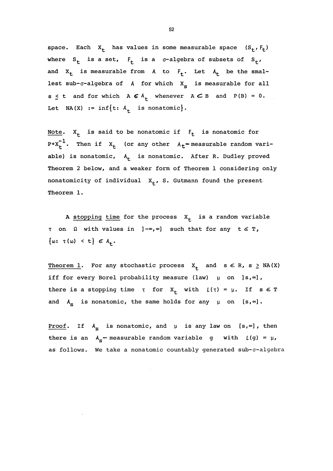space. Each  $X_t$  has values in some measurable space  $(S_t, F_t)$ where  $S_t$  is a set,  $F_t$  is a  $\sigma$ -algebra of subsets of  $S_t$ , and  $X_t$  is measurable from A to  $F_t$ . Let  $A_t$  be the smallest sub- $\sigma$ -algebra of A for which  $X_{\rm s}$  is measurable for all  $s \le t$  and for which  $A \in A_+$  whenever  $A \subset B$  and  $P(B) = 0$ . Let NA(X) := inf{t:  $A_{+}$  is nonatomic}.

Note.  $X_t$  is said to be nonatomic if  $F_t$  is nonatomic for  $P \cdot X_t^{-1}$ . Then if  $X_t$  (or any other  $A_t$ -measurable random variable) is nonatomic,  $A_+$  is nonatomic. After R. Dudley proved Theorem 2 below, and a weaker form of Theorem 1 considering only nonatomicity of individual  $X_t$ , S. Gutmann found the present Theorem 1.

A stopping time for the process  $X_t$  is a random variable  $\tau$  on  $\Omega$  with values in  $]-\infty,\infty]$  such that for any  $t \in T$ ,  $\{\omega: \tau(\omega) < t\} \in A_{+}.$ 

Theorem 1. For any stochastic process  $X_+$  and  $s \in R$ ,  $s \geq NA(X)$ iff for every Borel probability measure (law)  $\mu$  on ]s, $\infty$ ], there is a stopping time  $\tau$  for  $X_t$  with  $L(\tau) = \mu$ . If  $s \in T$ and  $A_{s}$  is nonatomic, the same holds for any  $\mu$  on [s,  $\infty$ ].

Proof. If  $A_{\rm g}$  is nonatomic, and  $\mu$  is any law on [s,  $\infty$ ], then there is an  $A_s$ - measurable random variable g with  $L(g) = \mu$ , as follows. We take a nonatomic countably generated sub-o-algebra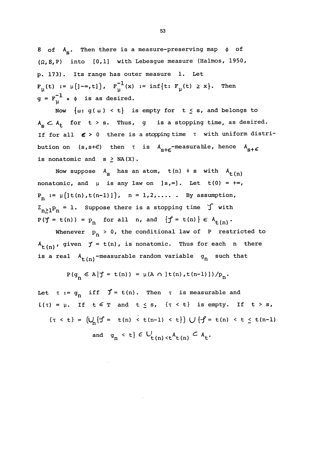B of  $A_{\rm g}$ . Then there is a measure-preserving map  $\phi$  of  $(\Omega, \mathcal{B}, P)$  into  $[0,1]$  with Lebesgue measure (Halmos, 1950, p. 173). Its range has outer measure 1. Let  $F_u(t) := \mu(]-\infty, t]$ ,  $F_u^{-1}(x) := \inf\{t: F_u(t) \ge x\}$ . Then  $g = F_{11}^{-1}$  .  $\phi$  is as desired.

Now  $\{ \omega : g(\omega) < t \}$  is empty for  $t \leq s$ , and belongs to  $A_{\sigma} \subset A_{+}$  for  $t > s$ . Thus, g is a stopping time, as desired. If for all  $\epsilon$  > 0 there is a stopping time  $\tau$  with uniform distribution on (s,s+ $\epsilon$ ) then  $\tau$  is  $A_{s+\epsilon}$ -measurable, hence  $A_{s+\epsilon}$ is nonatomic and  $s \geq NA(X)$ .

Now suppose  $A_s$  has an atom,  $t(n)$  + s with  $A_{t(n)}$ nonatomic, and  $\mu$  is any law on  $]s,\infty]$ . Let  $t(0) = +\infty$ ,  $P_n := \mu(l(t(n), t(n-1))$ ,  $n = 1, 2, ...,$  By assumption,  $\Sigma_{n\geq 1}P_n = 1.$  Suppose there is a stopping time  $~\int ~\text{with}~$  $P(\gamma = t(n)) = p_n$  for all n, and  $\{\gamma' = t(n)\}\in A_{t(n)}$ .

Whenever  $p_n > 0$ , the conditional law of P restricted to  $A_{t(n)}$ , given  $f = t(n)$ , is nonatomic. Thus for each n there is a real  $A_{t(n)}$ -measurable random variable  $g_n$  such that

$$
P(g_n \in A | f = t(n)) = \mu(A \cap Jt(n), t(n-1)) / P_n.
$$

Let  $\tau := g_n$  iff  $\mathcal{J} = \tau(n)$ . Then  $\tau$  is measurable and  $L(\tau) = \mu$ . If  $t \in \mathbb{T}$  and  $t \leq s$ ,  $\{\tau < t\}$  is empty. If  $t > s$ ,  $\{\tau \prec t\} = \left(\bigcup_{n} {\{\hat{f} = t(n) \prec t(n-1) \prec t\}}\right) \bigcup {\{\hat{f} = t(n) \prec t \le t(n-1)\}}$ and  $g_n < t$   $\in U_{t(n) < t} A_{t(n)} \subset A_t$ .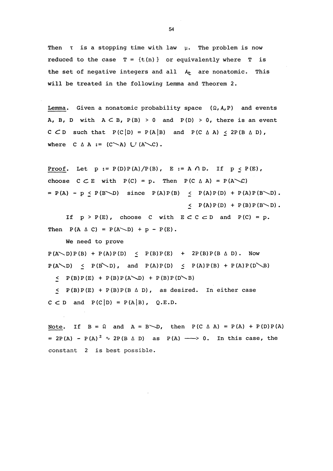Then  $\tau$  is a stopping time with law  $\mu$ . The problem is now reduced to the case  $T = {t(n)}$  or equivalently where T is the set of negative integers and all  $A<sub>t</sub>$  are nonatomic. This will be treated in the following Lemma and Theorem 2.

Lemma. Given a nonatomic probability space  $(\Omega, A, P)$  and events A, B, D with  $A \subseteq B$ ,  $P(B) > 0$  and  $P(D) > 0$ , there is an event C  $CD$  such that  $P(C|D) = P(A|B)$  and  $P(C \Delta A) \leq 2P(B \Delta D)$ , where  $C \triangle A := (C \triangle A) \cup (A \triangle C)$ .

Proof. Let  $p := P(D)P(A)/P(B)$ ,  $E := A \cap D$ . If  $p \le P(E)$ , choose  $C \subset E$  with  $P(C) = p$ . Then  $P(C \triangle A) = P(A \triangle C)$  $= P(A) - p \leq P(B \setminus D)$  since  $P(A)P(B) \leq P(A)P(D) + P(A)P(B \setminus D)$ .  $\leftarrow$  P(A) P(D) + P(B) P(B \ D).

If  $p > P(E)$ , choose C with  $E \subset C \subset D$  and  $P(C) = p$ . Then  $P(A \triangle C) = P(A \triangle D) + p - P(E)$ .

We need to prove

 $P (A \setminus D) P (B) + P (A) P (D) \leq P (B) P (E) + 2P (B) P (B \triangle D)$ . Now  $P(A \setminus D) \leq P(B' \setminus D)$ , and  $P(A)P(D) \leq P(A)P(B) + P(A)P(D \setminus B)$ 

 $\leq$  P(B)P(E) + P(B)P(A\D) + P(B)P(D\B)

 $\leq$  P(B)P(E) + P(B)P(B  $\triangle$  D), as desired. In either case  $C \subset D$  and  $P(C|D) = P(A|B)$ , Q.E.D.

Note. If  $B = \Omega$  and  $A = B \setminus D$ , then  $P(C \triangle A) = P(A) + P(D)P(A)$ =  $2P(A) - P(A)^2 \sim 2P(B \triangle D)$  as  $P(A) \longrightarrow 0$ . In this case, the constant 2 is best possible.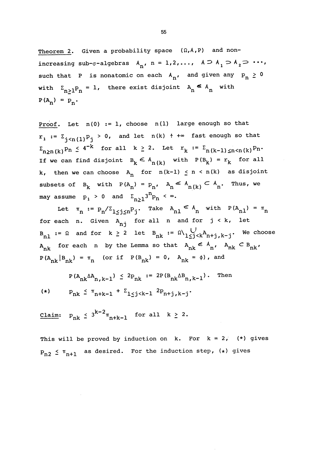Theorem 2. Given a probability space  $(\Omega, A, P)$  and nonincreasing sub- $\sigma$ -algebras  $A_n$ , n = 1,2,...,  $A \supset A_1 \supset A_2 \supset \cdots$ , such that P is nonatomic on each  $A_n$ , and given any  $p_n \ge 0$ with  $\Sigma_{n>1}P_n = 1$ , there exist disjoint  $A_n \leq A_n$  with  $P(A_n) = P_n$ .

Proof. Let  $n(0) := 1$ , choose  $n(1)$  large enough so that  $r_1 := \sum_{j \leq n(1)} p_j > 0$ , and let  $n(k) + \infty$  fast enough so that  $\Sigma_{n>n(k)}p_n \leq 4^{-k}$  for all  $k \geq 2$ . Let  $r_k := \Sigma_{n(k-1)\leq n \leq n(k)}p_n$ . If we can find disjoint  $B_k \n\t\leq A_{n(k)}$  with  $P(B_k) = r_k$  for all k, then we can choose  $A_n$  for  $n(k-1) \le n \le n(k)$  as disjoint subsets of  $B_k$  with  $P(A_n) = P_n$ ,  $A_n \leq A_{n(k)} \subset A_n$ . Thus, we may assume  $p_1 > 0$  and  $\sum_{n>1} 3^n p_n < \infty$ .

Let  $\pi_n := p_n / \Sigma_{1 \leq j \leq n} p_j$ . Take  $A_{n1} \n\in A_n$  with  $P(A_{n1}) = \pi_n$ for each n. Given  $A_{nj}$  for all n and for  $j \lt k$ , let  $B_{n1} := \Omega$  and for  $k \ge 2$  let  $B_{nk} := \Omega \setminus \bigcup_{1 \le j \le k} A_{n+j,k-j}$ . We choose  $A_{nk}$  for each n by the Lemma so that  $A_{nk} \n\in A_{n'}$ ,  $A_{nk} \nC B_{nk'}$  $P(A_{nk} | B_{nk}) = \pi_n$  (or if  $P(B_{nk}) = 0$ ,  $A_{nk} = \phi$ ), and

$$
P(A_{nk} \Delta A_{n,k-1}) \le 2p_{nk} := 2P(B_{nk} \Delta B_{n,k-1})
$$
. Then  
\n(\*)  $p_{nk} \le \pi_{n+k-1} + \Sigma_{1 \le j \le k-1} 2p_{n+j,k-j}$ .

 $\frac{\text{Claim:}}{\text{p}_{nk}}$   $\leq$  3<sup>k-2</sup> $\pi$ <sub>n+k-1</sub> for all  $k \geq 2$ .

This will be proved by induction on  $k$ . For  $k = 2$ , (\*) gives  $P_{n2} \nleq \pi_{n+1}$  as desired. For the induction step, (\*) gives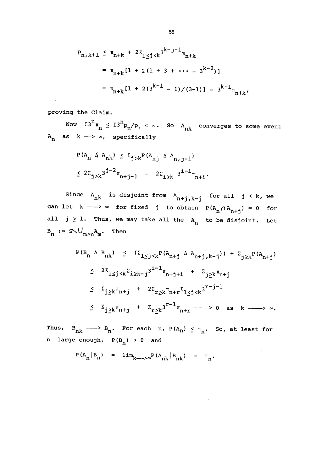$$
P_{n,k+1} \leq \pi_{n+k} + 2\Sigma_{1 \leq j < k} 3^{k-j-1} \pi_{n+k}
$$
\n
$$
= \pi_{n+k} [1 + 2(1 + 3 + \dots + 3^{k-2})]
$$
\n
$$
= \pi_{n+k} [1 + 2(3^{k-1} - 1)/(3-1)] = 3^{k-1} \pi_{n+k},
$$

proving the Claim.

Now  $\Sigma^{3^n} \pi_n \leq \Sigma^{3^n} P_n / P_1$  <  $\infty$ . So A<sub>nk</sub> converges to some event  $A_n$  as  $k \longrightarrow \infty$ , specifically

$$
P(A_n \triangle A_{nk}) \le \sum_{j>k} P(A_{nj} \triangle A_{n,j-1})
$$
  
 $\le 2\sum_{j>k} 3^{j-2} \pi_{n+j-1} = 2\sum_{i \ge k} 3^{i-1} \pi_{n+i}.$ 

Since  $A_{nk}$  is disjoint from  $A_{n+j,k-j}$  for all  $j \leq k$ , we can let  $k \longrightarrow \infty$  for fixed j to obtain  $P(A_n \cap A_{n+j}) = 0$  for all  $j \geq 1$ . Thus, we may take all the  $A_n$  to be disjoint. Let  $B_n := \Omega \setminus \bigcup_{m>n} A_m$ . Then

$$
P(B_{n} \triangle B_{nk}) \leq (\sum_{1 \leq j < k} P(A_{n+j} \triangle A_{n+j,k-j})) + \sum_{j \geq k} P(A_{n+j})
$$
\n
$$
\leq 2\sum_{1 \leq j < k} \sum_{i \geq k-j} 3^{i-1} \pi_{n+j+i} + \sum_{j \geq k} \pi_{n+j}
$$
\n
$$
\leq \sum_{j \geq k} \pi_{n+j} + 2\sum_{r \geq k} \pi_{n+r} \sum_{1 \leq j < k} 3^{r-j-1}
$$
\n
$$
\leq \sum_{j \geq k} \pi_{n+j} + \sum_{r \geq k} 3^{r-1} \pi_{n+r} \longrightarrow 0 \text{ as } k \longrightarrow \infty.
$$

 $\bar{z}$ 

Thus,  $B_{nk} \longrightarrow B_{n}$ . For each n,  $P(A_{n}) \leq \pi_{n}$ . So, at least for n large enough,  $P(B_{n}) > 0$  and

$$
P(A_n | B_n) = \lim_{k \to \infty} P(A_{nk} | B_{nk}) = \pi_n
$$
.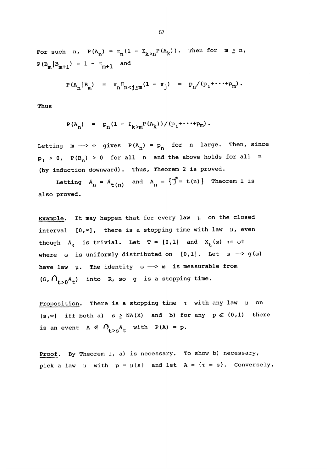For such n,  $P(A_n) = \pi_n(1 - \Sigma_{k>n}P(A_k))$ . Then for  $m \ge n$ ,  $\texttt{P}\left(\mathtt{B}_{\mathsf{m}}\middle|\mathtt{B}_{\mathsf{m}+1}\right) \ = \ \texttt{1} \ - \ \texttt{\pi}_{\mathsf{m}+1} \quad \text{and}$ 

$$
P(A_n|B_m) = \pi_n \Pi_{n < j \le m} (1 - \pi_j) = p_n / (p_1 + \cdots + p_m).
$$

Thus

$$
P(A_n) = P_n(1 - \Sigma_{k>m}P(A_k)) / (P_1 + \cdots + P_m).
$$

Letting  $m \longrightarrow \infty$  gives  $P(A_n) = p_n$  for n large. Then, since  $p_1 > 0$ ,  $P(B_n) > 0$  for all n and the above holds for all n (by induction downward). Thus, Theorem 2 is proved.

Letting  $A_n = A_{t(n)}$  and  $A_n = \{ \int e^e = t(n) \}$  Theorem 1 is also proved.

Example. It may happen that for every law  $\mu$  on the closed interval  $[0,\infty]$ , there is a stopping time with law  $\mu$ , even though  $A_0$  is trivial. Let  $T = [0,1]$  and  $X_t(\omega) := \omega t$ where  $\omega$  is uniformly distributed on [0,1]. Let  $\omega \longrightarrow g(\omega)$ have law  $\mu$ . The identity  $\omega \longrightarrow \omega$  is measurable from  $(\Omega, \bigcap_{t>0} A_t)$  into R, so g is a stopping time.

Proposition. There is a stopping time  $\tau$  with any law  $\mu$  on  $[s, \infty]$  iff both a)  $s \ge NA(X)$  and b) for any  $p \in (0,1)$  there is an event  $A \in \bigcap_{t>s} A_t$  with  $P(A) = p$ .

Proof. By Theorem 1, a) is necessary. To show b) necessary, pick a law  $\mu$  with  $p = \mu(s)$  and let  $A = \{\tau = s\}$ . Conversely,